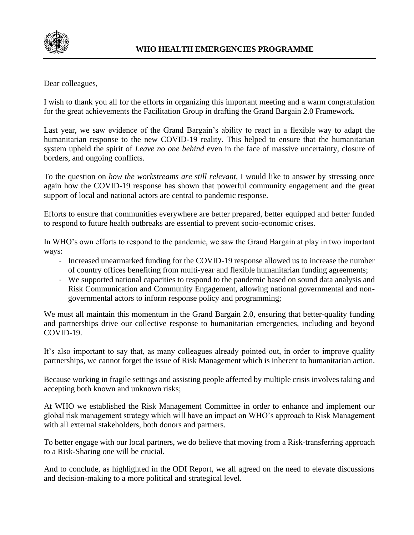

Dear colleagues,

I wish to thank you all for the efforts in organizing this important meeting and a warm congratulation for the great achievements the Facilitation Group in drafting the Grand Bargain 2.0 Framework.

Last year, we saw evidence of the Grand Bargain's ability to react in a flexible way to adapt the humanitarian response to the new COVID-19 reality. This helped to ensure that the humanitarian system upheld the spirit of *Leave no one behind* even in the face of massive uncertainty, closure of borders, and ongoing conflicts.

To the question on *how the workstreams are still relevant*, I would like to answer by stressing once again how the COVID-19 response has shown that powerful community engagement and the great support of local and national actors are central to pandemic response.

Efforts to ensure that communities everywhere are better prepared, better equipped and better funded to respond to future health outbreaks are essential to prevent socio-economic crises.

In WHO's own efforts to respond to the pandemic, we saw the Grand Bargain at play in two important ways:

- Increased unearmarked funding for the COVID-19 response allowed us to increase the number of country offices benefiting from multi-year and flexible humanitarian funding agreements;
- We supported national capacities to respond to the pandemic based on sound data analysis and Risk Communication and Community Engagement, allowing national governmental and nongovernmental actors to inform response policy and programming;

We must all maintain this momentum in the Grand Bargain 2.0, ensuring that better-quality funding and partnerships drive our collective response to humanitarian emergencies, including and beyond COVID-19.

It's also important to say that, as many colleagues already pointed out, in order to improve quality partnerships, we cannot forget the issue of Risk Management which is inherent to humanitarian action.

Because working in fragile settings and assisting people affected by multiple crisis involves taking and accepting both known and unknown risks;

At WHO we established the Risk Management Committee in order to enhance and implement our global risk management strategy which will have an impact on WHO's approach to Risk Management with all external stakeholders, both donors and partners.

To better engage with our local partners, we do believe that moving from a Risk-transferring approach to a Risk-Sharing one will be crucial.

And to conclude, as highlighted in the ODI Report, we all agreed on the need to elevate discussions and decision-making to a more political and strategical level.